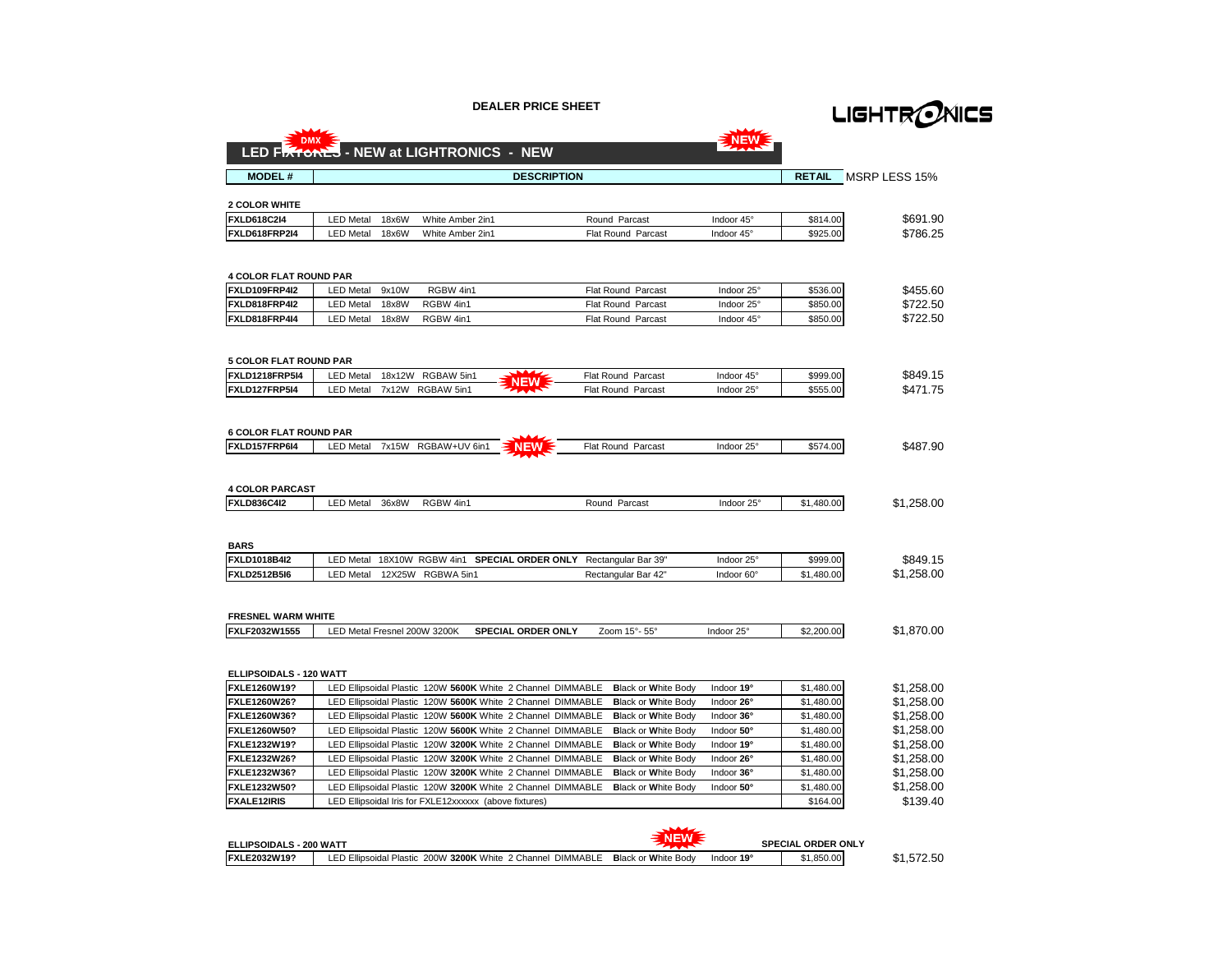**DEALER PRICE SHEET**



|                                              | LED FIXTONES - NEW at LIGHTRONICS - NEW                                                                               |                                        |            |                        |                          |
|----------------------------------------------|-----------------------------------------------------------------------------------------------------------------------|----------------------------------------|------------|------------------------|--------------------------|
| <b>MODEL#</b>                                |                                                                                                                       | <b>DESCRIPTION</b>                     |            | <b>RETAIL</b>          | MSRP LESS 15%            |
|                                              |                                                                                                                       |                                        |            |                        |                          |
| <b>2 COLOR WHITE</b>                         |                                                                                                                       |                                        |            |                        |                          |
| <b>FXLD618C2I4</b>                           | 18x6W<br>White Amber 2in1<br><b>LED Metal</b>                                                                         | Round Parcast                          | Indoor 45° | \$814.00               | \$691.90                 |
| FXLD618FRP2I4                                | 18x6W<br>White Amber 2in1<br><b>LED Metal</b>                                                                         | <b>Flat Round Parcast</b>              | Indoor 45° | \$925.00               | \$786.25                 |
| <b>4 COLOR FLAT ROUND PAR</b>                |                                                                                                                       |                                        |            |                        |                          |
| FXLD109FRP4I2                                | <b>LED Metal</b><br>9x10W<br>RGBW 4in1                                                                                | Flat Round Parcast                     | Indoor 25° | \$536.00               | \$455.60                 |
| FXLD818FRP4I2                                | <b>LED Metal</b><br>18x8W<br>RGBW 4in1                                                                                | Flat Round Parcast                     | Indoor 25° | \$850.00               | \$722.50                 |
| FXLD818FRP4I4                                | <b>LED Metal</b><br>18x8W<br>RGBW 4in1                                                                                | <b>Flat Round Parcast</b>              | Indoor 45° | \$850.00               | \$722.50                 |
| <b>5 COLOR FLAT ROUND PAR</b>                |                                                                                                                       |                                        |            |                        |                          |
| <b>FXLD1218FRP5I4</b>                        | <b>LED Metal</b><br>18x12W RGBAW 5in1<br>NEW                                                                          | <b>Flat Round Parcast</b>              | Indoor 45° | \$999.00               | \$849.15                 |
| FXLD127FRP5I4                                | RGBAW 5in1<br><b>LED Metal</b><br>7x12W                                                                               | Flat Round Parcast                     | Indoor 25° | \$555.00               | \$471.75                 |
| <b>6 COLOR FLAT ROUND PAR</b>                |                                                                                                                       |                                        |            |                        |                          |
| FXLD157FRP6I4                                | RGBAW+UV 6in1<br><b>LED Metal</b><br>7x15W<br><b>NEW</b>                                                              | Flat Round Parcast                     | Indoor 25° | \$574.00               | \$487.90                 |
| <b>4 COLOR PARCAST</b><br><b>FXLD836C4I2</b> | 36x8W<br><b>LED Metal</b><br>RGBW 4in1                                                                                | Round Parcast                          | Indoor 25° | \$1,480.00             | \$1,258.00               |
| <b>BARS</b>                                  |                                                                                                                       |                                        |            |                        |                          |
| <b>FXLD1018B4I2</b>                          | <b>LED Metal</b><br>18X10W RGBW 4in1                                                                                  | SPECIAL ORDER ONLY Rectangular Bar 39" | Indoor 25° | \$999.00               | \$849.15                 |
| <b>FXLD2512B5I6</b>                          | <b>LED Metal</b><br>12X25W<br>RGBWA 5in1                                                                              | Rectangular Bar 42"                    | Indoor 60° | \$1,480.00             | \$1,258.00               |
| <b>FRESNEL WARM WHITE</b>                    |                                                                                                                       |                                        |            |                        |                          |
| FXLF2032W1555                                | LED Metal Fresnel 200W 3200K<br><b>SPECIAL ORDER ONLY</b>                                                             | Zoom 15°-55°                           | Indoor 25° | \$2,200.00             | \$1,870.00               |
| ELLIPSOIDALS - 120 WATT                      |                                                                                                                       |                                        |            |                        |                          |
| FXLE1260W19?                                 | LED Ellipsoidal Plastic 120W 5600K White 2 Channel DIMMABLE                                                           | <b>Black or White Body</b>             | Indoor 19° | \$1,480.00             | \$1.258.00               |
| FXLE1260W26?                                 | LED Ellipsoidal Plastic 120W 5600K White 2 Channel DIMMABLE                                                           | <b>Black or White Body</b>             | Indoor 26° | \$1,480.00             | \$1,258.00               |
| FXLE1260W36?                                 | LED Ellipsoidal Plastic 120W 5600K White 2 Channel DIMMABLE                                                           | <b>Black or White Body</b>             | Indoor 36° | \$1,480.00             | \$1,258.00               |
| <b>FXLE1260W50?</b>                          | LED Ellipsoidal Plastic 120W 5600K White 2 Channel DIMMABLE                                                           | <b>Black or White Body</b>             | Indoor 50° | \$1,480.00             | \$1,258.00               |
| <b>FXLE1232W19?</b>                          | LED Ellipsoidal Plastic 120W 3200K White 2 Channel DIMMABLE                                                           | <b>Black or White Body</b>             | Indoor 19° | \$1,480.00             | \$1,258.00               |
| <b>FXLE1232W26?</b>                          | LED Ellipsoidal Plastic 120W 3200K White 2 Channel DIMMABLE                                                           | <b>Black or White Body</b>             | Indoor 26° | \$1,480.00             | \$1,258.00               |
| FXLE1232W36?                                 | LED Ellipsoidal Plastic 120W 3200K White 2 Channel DIMMABLE                                                           | <b>Black or White Body</b>             | Indoor 36° | \$1,480.00             | \$1,258.00<br>\$1,258.00 |
|                                              |                                                                                                                       |                                        |            |                        |                          |
| FXLE1232W50?<br><b>FXALE12IRIS</b>           | LED Ellipsoidal Plastic 120W 3200K White 2 Channel DIMMABLE<br>LED Ellipsoidal Iris for FXLE12xxxxxx (above fixtures) | <b>Black or White Body</b>             | Indoor 50° | \$1,480.00<br>\$164.00 | \$139.40                 |

| <b>ELLIPSOIDALS - 200 WATT</b> |                                                             |                            |            | <b>SPECIAL ORDER ONLY</b> |          |
|--------------------------------|-------------------------------------------------------------|----------------------------|------------|---------------------------|----------|
| FXLE2032W19?                   | LED Ellipsoidal Plastic 200W 3200K White 2 Channel DIMMABLE | <b>Black or White Body</b> | Indoor 19° | 1.850.00                  | 1.572.50 |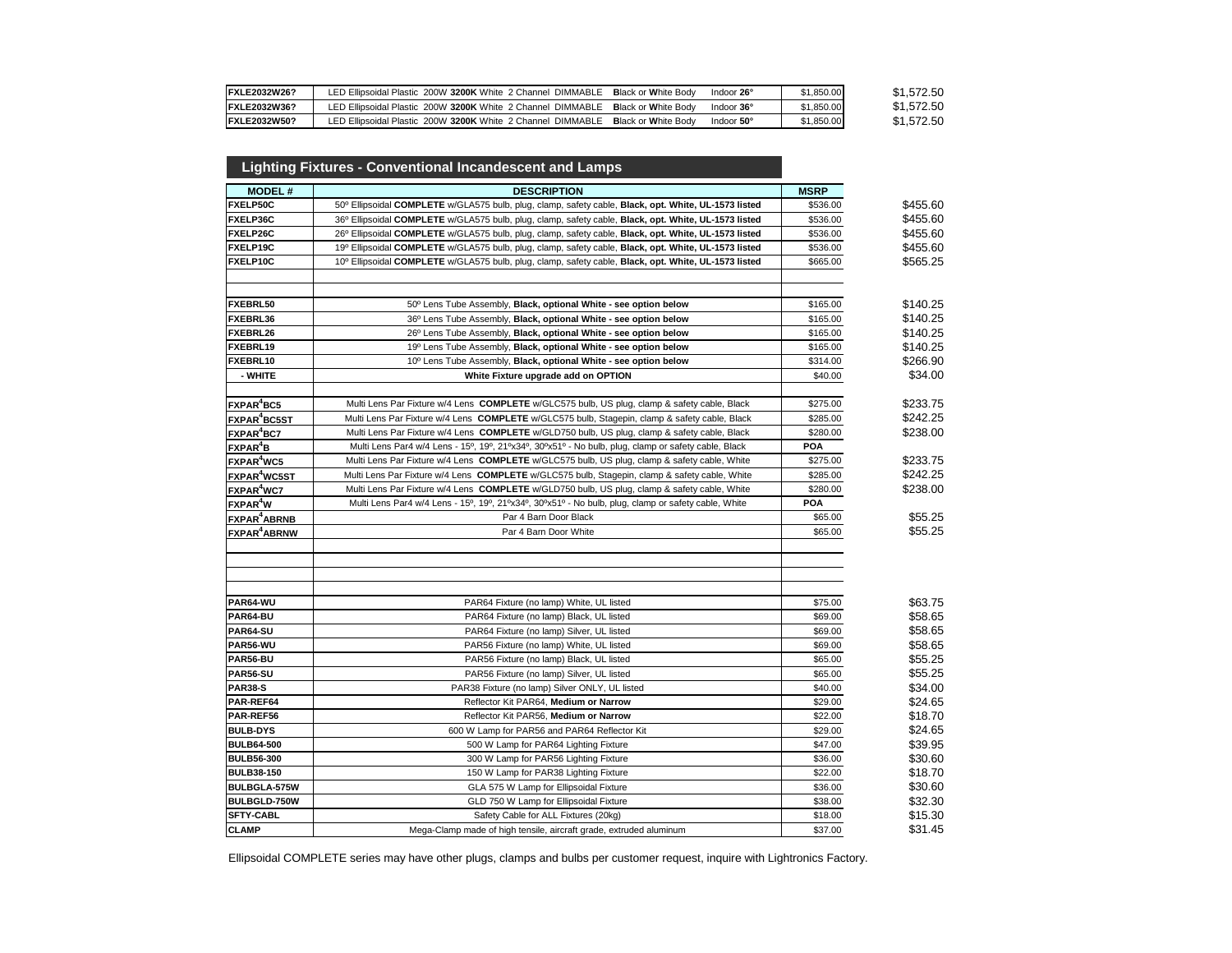| <b>FXLE2032W26?</b>  | LED Ellipsoidal Plastic 200W 3200K White 2 Channel DIMMABLE | Indoor 26°<br><b>Black or White Body</b> | \$1,850.00 | \$1.572.50 |
|----------------------|-------------------------------------------------------------|------------------------------------------|------------|------------|
| FXLE2032W36?         | LED Ellipsoidal Plastic 200W 3200K White 2 Channel DIMMABLE | <b>Black or White Body</b><br>Indoor 36° | \$1,850,00 | \$1,572.50 |
| <b>IFXLE2032W50?</b> | LED Ellipsoidal Plastic 200W 3200K White 2 Channel DIMMABLE | <b>Black or White Body</b><br>Indoor 50° | \$1,850.00 | \$1,572.50 |

|                               | <b>Lighting Fixtures - Conventional Incandescent and Lamps</b>                                       |             |          |
|-------------------------------|------------------------------------------------------------------------------------------------------|-------------|----------|
| <b>MODEL#</b>                 | <b>DESCRIPTION</b>                                                                                   | <b>MSRP</b> |          |
| FXELP50C                      | 50° Ellipsoidal COMPLETE w/GLA575 bulb, plug, clamp, safety cable, Black, opt. White, UL-1573 listed | \$536.00    | \$455.60 |
| FXELP36C                      | 36º Ellipsoidal COMPLETE w/GLA575 bulb, plug, clamp, safety cable, Black, opt. White, UL-1573 listed | \$536.00    | \$455.60 |
| FXELP26C                      | 26º Ellipsoidal COMPLETE w/GLA575 bulb, plug, clamp, safety cable, Black, opt. White, UL-1573 listed | \$536.00    | \$455.60 |
| FXELP19C                      | 19º Ellipsoidal COMPLETE w/GLA575 bulb, plug, clamp, safety cable, Black, opt. White, UL-1573 listed | \$536.00    | \$455.60 |
| FXELP10C                      | 10° Ellipsoidal COMPLETE w/GLA575 bulb, plug, clamp, safety cable, Black, opt. White, UL-1573 listed | \$665.00    | \$565.25 |
| FXEBRL50                      | 50° Lens Tube Assembly, Black, optional White - see option below                                     | \$165.00    | \$140.25 |
| FXEBRL36                      | 36° Lens Tube Assembly, Black, optional White - see option below                                     | \$165.00    | \$140.25 |
| FXEBRL26                      | 26° Lens Tube Assembly, Black, optional White - see option below                                     | \$165.00    | \$140.25 |
| FXEBRL19                      | 19º Lens Tube Assembly, Black, optional White - see option below                                     | \$165.00    | \$140.25 |
| FXEBRL10                      | 10° Lens Tube Assembly, Black, optional White - see option below                                     | \$314.00    | \$266.90 |
| - WHITE                       | White Fixture upgrade add on OPTION                                                                  | \$40.00     | \$34.00  |
| FXPAR <sup>4</sup> BC5        | Multi Lens Par Fixture w/4 Lens COMPLETE w/GLC575 bulb, US plug, clamp & safety cable, Black         | \$275.00    | \$233.75 |
| FXPAR <sup>4</sup> BC5ST      | Multi Lens Par Fixture w/4 Lens COMPLETE w/GLC575 bulb, Stagepin, clamp & safety cable, Black        | \$285.00    | \$242.25 |
| FXPAR <sup>4</sup> BC7        | Multi Lens Par Fixture w/4 Lens COMPLETE w/GLD750 bulb, US plug, clamp & safety cable, Black         | \$280.00    | \$238.00 |
| FXPAR <sup>4</sup> B          | Multi Lens Par4 w/4 Lens - 15°, 19°, 21°x34°, 30°x51° - No bulb, plug, clamp or safety cable, Black  | <b>POA</b>  |          |
| FXPAR <sup>4</sup> WC5        | Multi Lens Par Fixture w/4 Lens COMPLETE w/GLC575 bulb, US plug, clamp & safety cable, White         | \$275.00    | \$233.75 |
| FXPAR <sup>4</sup> WC5ST      | Multi Lens Par Fixture w/4 Lens COMPLETE w/GLC575 bulb, Stagepin, clamp & safety cable, White        | \$285.00    | \$242.25 |
| FXPAR <sup>4</sup> WC7        | Multi Lens Par Fixture w/4 Lens COMPLETE w/GLD750 bulb, US plug, clamp & safety cable, White         | \$280.00    | \$238.00 |
| FXPAR <sup>4</sup> W          | Multi Lens Par4 w/4 Lens - 15°, 19°, 21°x34°, 30°x51° - No bulb, plug, clamp or safety cable, White  | POA         |          |
| <b>FXPAR<sup>4</sup>ABRNB</b> | Par 4 Barn Door Black                                                                                | \$65.00     | \$55.25  |
| FXPAR <sup>4</sup> ABRNW      | Par 4 Barn Door White                                                                                | \$65.00     | \$55.25  |
| PAR64-WU                      | PAR64 Fixture (no lamp) White, UL listed                                                             | \$75.00     | \$63.75  |
| PAR64-BU                      | PAR64 Fixture (no lamp) Black, UL listed                                                             | \$69.00     | \$58.65  |
| PAR64-SU                      | PAR64 Fixture (no lamp) Silver, UL listed                                                            | \$69.00     | \$58.65  |
| PAR56-WU                      | PAR56 Fixture (no lamp) White, UL listed                                                             | \$69.00     | \$58.65  |
| PAR56-BU                      | PAR56 Fixture (no lamp) Black, UL listed                                                             | \$65.00     | \$55.25  |
| PAR56-SU                      | PAR56 Fixture (no lamp) Silver, UL listed                                                            | \$65.00     | \$55.25  |
| <b>PAR38-S</b>                | PAR38 Fixture (no lamp) Silver ONLY, UL listed                                                       | \$40.00     | \$34.00  |
| PAR-REF64                     | Reflector Kit PAR64, Medium or Narrow                                                                | \$29.00     | \$24.65  |
| PAR-REF56                     | Reflector Kit PAR56, Medium or Narrow                                                                | \$22.00     | \$18.70  |
| <b>BULB-DYS</b>               | 600 W Lamp for PAR56 and PAR64 Reflector Kit                                                         | \$29.00     | \$24.65  |
| <b>BULB64-500</b>             | 500 W Lamp for PAR64 Lighting Fixture                                                                | \$47.00     | \$39.95  |
| <b>BULB56-300</b>             | 300 W Lamp for PAR56 Lighting Fixture                                                                | \$36.00     | \$30.60  |
| <b>BULB38-150</b>             | 150 W Lamp for PAR38 Lighting Fixture                                                                | \$22.00     | \$18.70  |
| BULBGLA-575W                  | GLA 575 W Lamp for Ellipsoidal Fixture                                                               | \$36.00     | \$30.60  |
| BULBGLD-750W                  | GLD 750 W Lamp for Ellipsoidal Fixture                                                               | \$38.00     | \$32.30  |
| <b>SFTY-CABL</b>              | Safety Cable for ALL Fixtures (20kg)                                                                 | \$18.00     | \$15.30  |
| <b>CLAMP</b>                  | Mega-Clamp made of high tensile, aircraft grade, extruded aluminum                                   | \$37.00     | \$31.45  |
|                               |                                                                                                      |             |          |

Ellipsoidal COMPLETE series may have other plugs, clamps and bulbs per customer request, inquire with Lightronics Factory.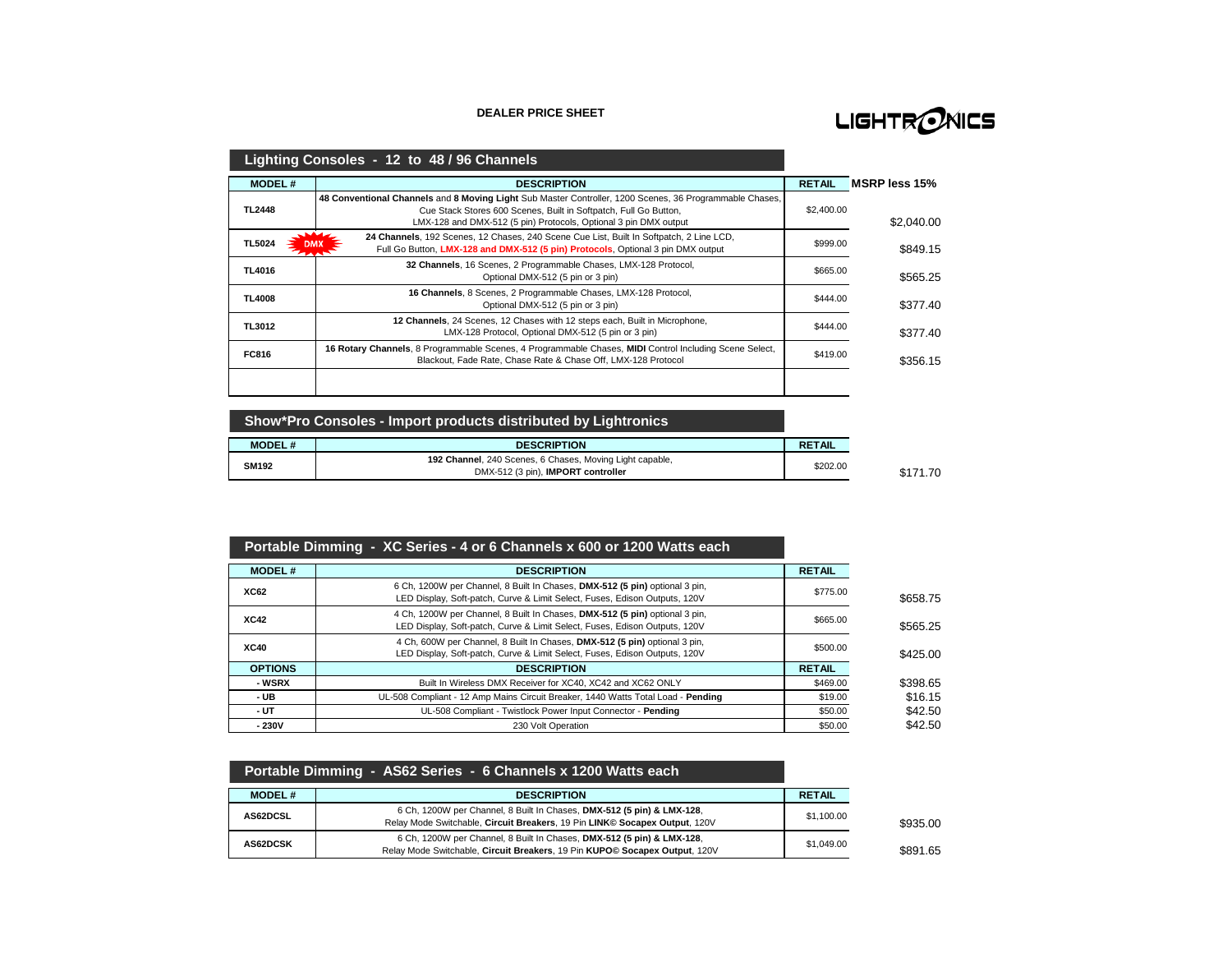#### **DEALER PRICE SHEET**

# LIGHTRONICS

|               | Lighting Consoles - 12 to 48 / 96 Channels                                                                                                                                                                                                      |               |               |
|---------------|-------------------------------------------------------------------------------------------------------------------------------------------------------------------------------------------------------------------------------------------------|---------------|---------------|
| <b>MODEL#</b> | <b>DESCRIPTION</b>                                                                                                                                                                                                                              | <b>RETAIL</b> | MSRP less 15% |
| <b>TL2448</b> | 48 Conventional Channels and 8 Moving Light Sub Master Controller, 1200 Scenes, 36 Programmable Chases,<br>Cue Stack Stores 600 Scenes, Built in Softpatch, Full Go Button,<br>LMX-128 and DMX-512 (5 pin) Protocols, Optional 3 pin DMX output | \$2,400.00    | \$2.040.00    |
| <b>TL5024</b> | 24 Channels, 192 Scenes, 12 Chases, 240 Scene Cue List, Built In Softpatch, 2 Line LCD,<br>Full Go Button, LMX-128 and DMX-512 (5 pin) Protocols, Optional 3 pin DMX output                                                                     | \$999.00      | \$849.15      |
| <b>TL4016</b> | 32 Channels, 16 Scenes, 2 Programmable Chases, LMX-128 Protocol,<br>Optional DMX-512 (5 pin or 3 pin)                                                                                                                                           | \$665.00      | \$565.25      |
| <b>TL4008</b> | 16 Channels, 8 Scenes, 2 Programmable Chases, LMX-128 Protocol,<br>Optional DMX-512 (5 pin or 3 pin)                                                                                                                                            | \$444.00      | \$377.40      |
| <b>TL3012</b> | 12 Channels, 24 Scenes, 12 Chases with 12 steps each, Built in Microphone,<br>LMX-128 Protocol, Optional DMX-512 (5 pin or 3 pin)                                                                                                               | \$444.00      | \$377.40      |
| <b>FC816</b>  | 16 Rotary Channels, 8 Programmable Scenes, 4 Programmable Chases, MIDI Control Including Scene Select,<br>Blackout, Fade Rate, Chase Rate & Chase Off, LMX-128 Protocol                                                                         | \$419.00      | \$356.15      |
|               |                                                                                                                                                                                                                                                 |               |               |

**Show\*Pro Consoles - Import products distributed by Lightronics**

| <b>MODEL#</b> | <b>DESCRIPTION</b>                                       | <b>RETAIL</b> |
|---------------|----------------------------------------------------------|---------------|
| <b>SM192</b>  | 192 Channel, 240 Scenes, 6 Chases, Moving Light capable, | \$202.00      |
|               | DMX-512 (3 pin), IMPORT controller                       |               |

# **Portable Dimming - XC Series - 4 or 6 Channels x 600 or 1200 Watts each**

| <b>MODEL#</b>  | <b>DESCRIPTION</b>                                                                                                                                        | <b>RETAIL</b> |          |
|----------------|-----------------------------------------------------------------------------------------------------------------------------------------------------------|---------------|----------|
| <b>XC62</b>    | 6 Ch, 1200W per Channel, 8 Built In Chases, DMX-512 (5 pin) optional 3 pin,<br>LED Display, Soft-patch, Curve & Limit Select, Fuses, Edison Outputs, 120V | \$775.00      | \$658.75 |
| <b>XC42</b>    | 4 Ch, 1200W per Channel, 8 Built In Chases, DMX-512 (5 pin) optional 3 pin,<br>LED Display, Soft-patch, Curve & Limit Select, Fuses, Edison Outputs, 120V | \$665.00      | \$565.25 |
| <b>XC40</b>    | 4 Ch, 600W per Channel, 8 Built In Chases, DMX-512 (5 pin) optional 3 pin,<br>LED Display, Soft-patch, Curve & Limit Select, Fuses, Edison Outputs, 120V  | \$500.00      | \$425.00 |
| <b>OPTIONS</b> | <b>DESCRIPTION</b>                                                                                                                                        | <b>RETAIL</b> |          |
| - WSRX         | Built In Wireless DMX Receiver for XC40, XC42 and XC62 ONLY                                                                                               | \$469.00      | \$398.65 |
| - UB           | UL-508 Compliant - 12 Amp Mains Circuit Breaker, 1440 Watts Total Load - Pending                                                                          | \$19.00       | \$16.15  |
| - UT           | UL-508 Compliant - Twistlock Power Input Connector - Pending                                                                                              | \$50.00       | \$42.50  |
| $-230V$        | 230 Volt Operation                                                                                                                                        | \$50.00       | \$42.50  |

|                 | Portable Dimming - AS62 Series - 6 Channels x 1200 Watts each                                                                                        |               |
|-----------------|------------------------------------------------------------------------------------------------------------------------------------------------------|---------------|
| <b>MODEL#</b>   | <b>DESCRIPTION</b>                                                                                                                                   | <b>RETAIL</b> |
| AS62DCSL        | 6 Ch, 1200W per Channel, 8 Built In Chases, DMX-512 (5 pin) & LMX-128,<br>Relay Mode Switchable, Circuit Breakers, 19 Pin LINK© Socapex Output, 120V | \$1,100.00    |
| <b>AS62DCSK</b> | 6 Ch, 1200W per Channel, 8 Built In Chases, DMX-512 (5 pin) & LMX-128,<br>Relay Mode Switchable, Circuit Breakers, 19 Pin KUPO© Socapex Output, 120V | \$1,049.00    |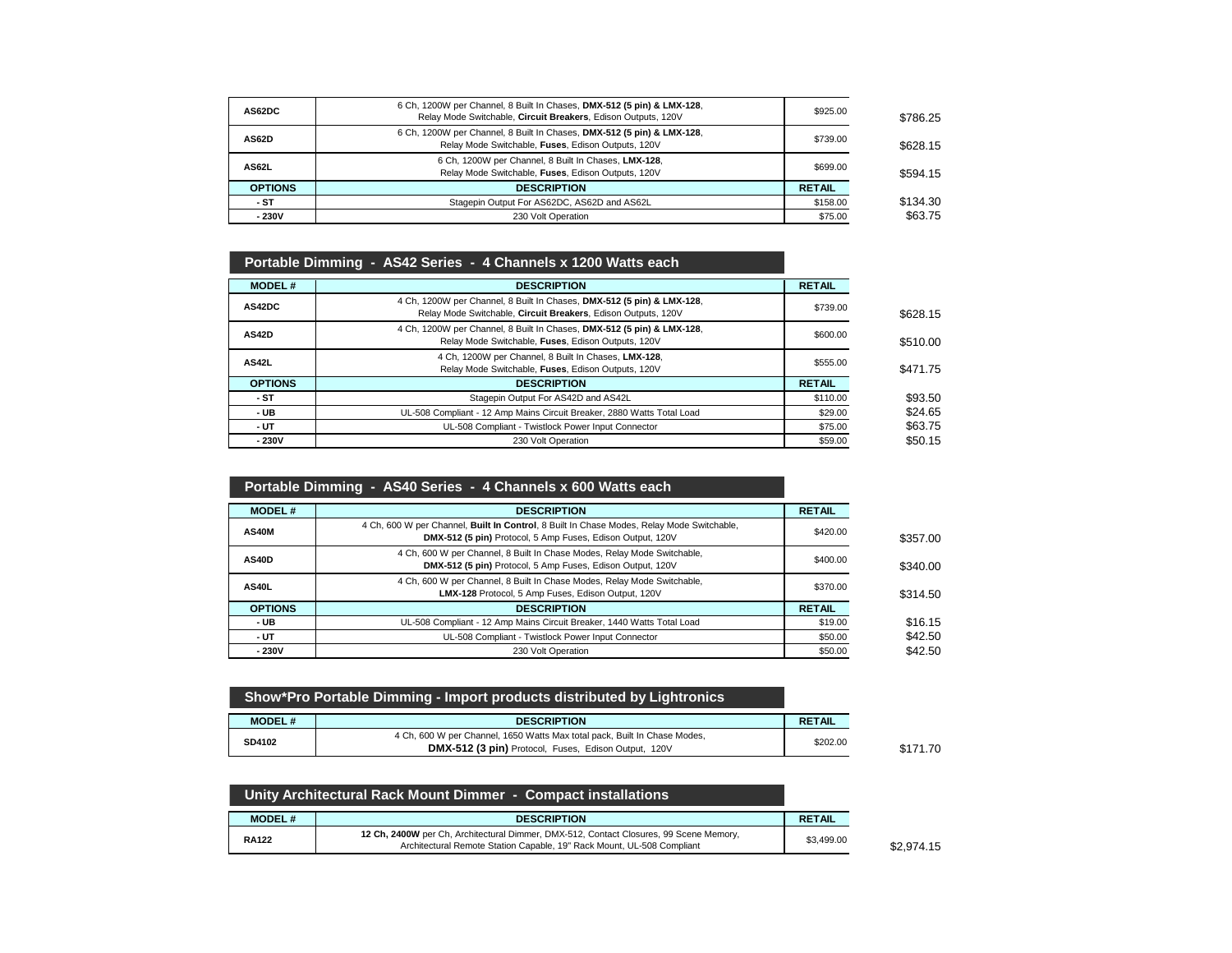| AS62DC         | 6 Ch, 1200W per Channel, 8 Built In Chases, DMX-512 (5 pin) & LMX-128,<br>Relay Mode Switchable, Circuit Breakers, Edison Outputs, 120V | \$925.00      | \$786.25 |
|----------------|-----------------------------------------------------------------------------------------------------------------------------------------|---------------|----------|
| AS62D          | 6 Ch, 1200W per Channel, 8 Built In Chases, DMX-512 (5 pin) & LMX-128,<br>Relay Mode Switchable, Fuses, Edison Outputs, 120V            | \$739.00      | \$628.15 |
| AS62L          | 6 Ch, 1200W per Channel, 8 Built In Chases, LMX-128,<br>Relay Mode Switchable, Fuses, Edison Outputs, 120V                              | \$699.00      | \$594.15 |
| <b>OPTIONS</b> | <b>DESCRIPTION</b>                                                                                                                      | <b>RETAIL</b> |          |
| - ST           | Stagepin Output For AS62DC, AS62D and AS62L                                                                                             | \$158.00      | \$134.30 |
| $-230V$        | 230 Volt Operation                                                                                                                      | \$75.00       | \$63.75  |

| Portable Dimming - AS42 Series - 4 Channels x 1200 Watts each                                                                           |               |          |
|-----------------------------------------------------------------------------------------------------------------------------------------|---------------|----------|
| <b>DESCRIPTION</b>                                                                                                                      | <b>RETAIL</b> |          |
| 4 Ch, 1200W per Channel, 8 Built In Chases, DMX-512 (5 pin) & LMX-128,<br>Relay Mode Switchable, Circuit Breakers, Edison Outputs, 120V | \$739.00      | \$628.15 |
| 4 Ch, 1200W per Channel, 8 Built In Chases, DMX-512 (5 pin) & LMX-128,<br>Relay Mode Switchable, Fuses, Edison Outputs, 120V            | \$600.00      | \$510.00 |
| 4 Ch, 1200W per Channel, 8 Built In Chases, LMX-128,<br>Relay Mode Switchable, Fuses, Edison Outputs, 120V                              | \$555.00      | \$471.75 |
| <b>DESCRIPTION</b>                                                                                                                      | <b>RETAIL</b> |          |
| Stagepin Output For AS42D and AS42L                                                                                                     | \$110.00      | \$93.50  |
| UL-508 Compliant - 12 Amp Mains Circuit Breaker, 2880 Watts Total Load                                                                  | \$29.00       | \$24.65  |
| UL-508 Compliant - Twistlock Power Input Connector                                                                                      | \$75.00       | \$63.75  |
| 230 Volt Operation                                                                                                                      | \$59.00       | \$50.15  |
|                                                                                                                                         |               |          |

# **Portable Dimming - AS40 Series - 4 Channels x 600 Watts each**

| <b>MODEL#</b>  | <b>DESCRIPTION</b>                                                                                                                                      | <b>RETAIL</b> |          |
|----------------|---------------------------------------------------------------------------------------------------------------------------------------------------------|---------------|----------|
| <b>AS40M</b>   | 4 Ch, 600 W per Channel, Built In Control, 8 Built In Chase Modes, Relay Mode Switchable,<br>DMX-512 (5 pin) Protocol, 5 Amp Fuses, Edison Output, 120V | \$420.00      | \$357.00 |
| <b>AS40D</b>   | 4 Ch, 600 W per Channel, 8 Built In Chase Modes, Relay Mode Switchable,<br>DMX-512 (5 pin) Protocol, 5 Amp Fuses, Edison Output, 120V                   | \$400.00      | \$340.00 |
| AS40L          | 4 Ch, 600 W per Channel, 8 Built In Chase Modes, Relay Mode Switchable,<br>LMX-128 Protocol, 5 Amp Fuses, Edison Output, 120V                           | \$370.00      | \$314.50 |
| <b>OPTIONS</b> | <b>DESCRIPTION</b>                                                                                                                                      | <b>RETAIL</b> |          |
| - UB           | UL-508 Compliant - 12 Amp Mains Circuit Breaker, 1440 Watts Total Load                                                                                  | \$19.00       | \$16.15  |
| - UT           | UL-508 Compliant - Twistlock Power Input Connector                                                                                                      | \$50.00       | \$42.50  |
| $-230V$        | 230 Volt Operation                                                                                                                                      | \$50.00       | \$42.50  |

| <b>MODEL#</b><br><b>RETAIL</b><br><b>DESCRIPTION</b> |
|------------------------------------------------------|

| 「Unity Architectural Rack Mount Dimmer - Compact installations |                                                                                                                                                                  |               |  |
|----------------------------------------------------------------|------------------------------------------------------------------------------------------------------------------------------------------------------------------|---------------|--|
| <b>MODEL#</b>                                                  | <b>DESCRIPTION</b>                                                                                                                                               | <b>RETAIL</b> |  |
| <b>RA122</b>                                                   | 12 Ch, 2400W per Ch, Architectural Dimmer, DMX-512, Contact Closures, 99 Scene Memory,<br>Architectural Remote Station Capable, 19" Rack Mount, UL-508 Compliant | \$3,499.00    |  |

 $$2,974.15$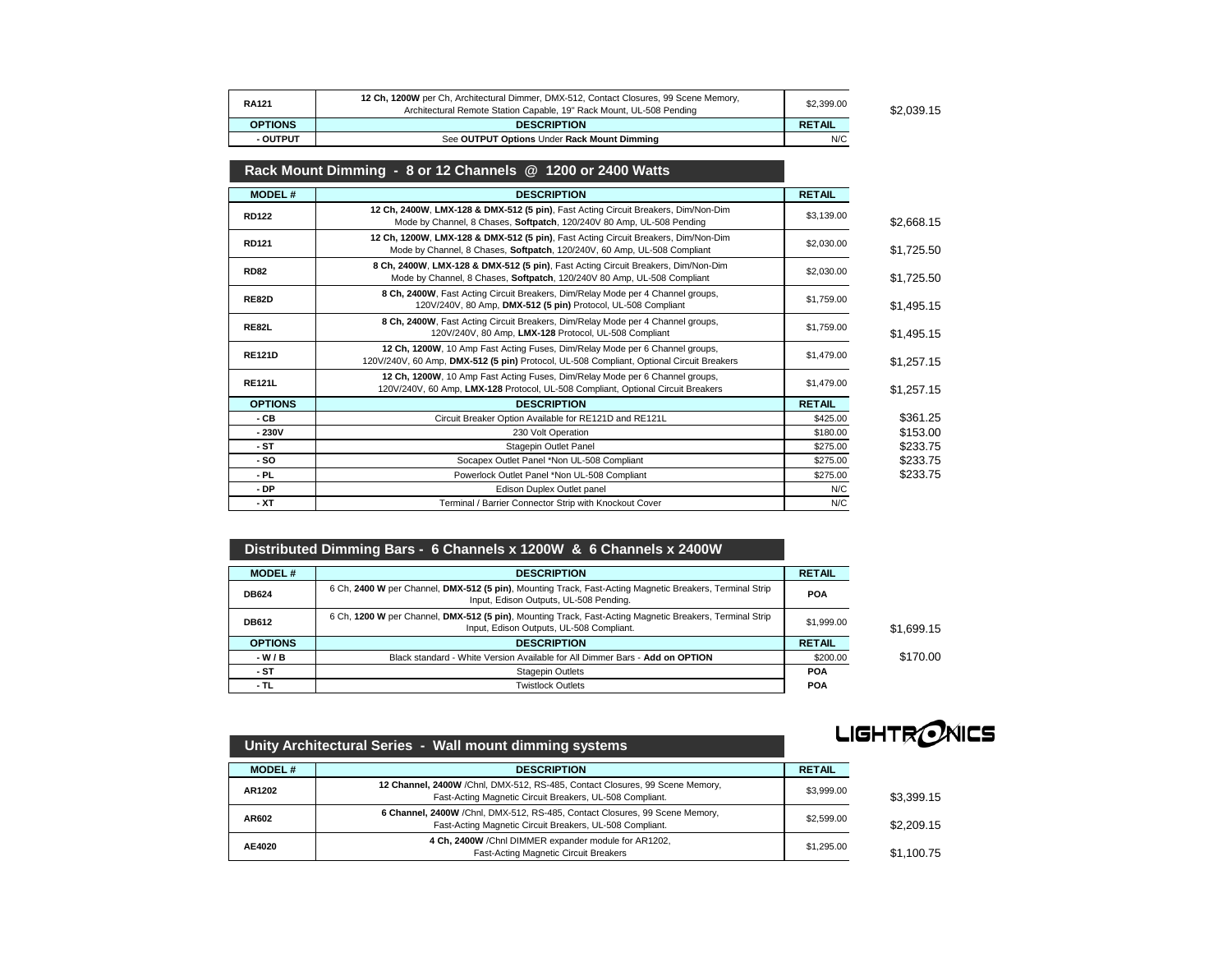| <b>RA121</b>   | 12 Ch, 1200W per Ch, Architectural Dimmer, DMX-512, Contact Closures, 99 Scene Memory,<br>Architectural Remote Station Capable, 19" Rack Mount, UL-508 Pending | \$2,399.00    | \$2.039.15 |
|----------------|----------------------------------------------------------------------------------------------------------------------------------------------------------------|---------------|------------|
| <b>OPTIONS</b> | <b>DESCRIPTION</b>                                                                                                                                             | <b>RETAIL</b> |            |
| - OUTPUT       | See OUTPUT Options Under Rack Mount Dimming                                                                                                                    | N/C           |            |

# **Rack Mount Dimming - 8 or 12 Channels @ 1200 or 2400 Watts**

| <b>MODEL#</b>  | <b>DESCRIPTION</b>                                                                                                                                                       | <b>RETAIL</b> |            |
|----------------|--------------------------------------------------------------------------------------------------------------------------------------------------------------------------|---------------|------------|
| <b>RD122</b>   | 12 Ch, 2400W, LMX-128 & DMX-512 (5 pin), Fast Acting Circuit Breakers, Dim/Non-Dim<br>Mode by Channel, 8 Chases, Softpatch, 120/240V 80 Amp, UL-508 Pending              | \$3,139.00    | \$2,668.15 |
| RD121          | 12 Ch, 1200W, LMX-128 & DMX-512 (5 pin), Fast Acting Circuit Breakers, Dim/Non-Dim<br>Mode by Channel, 8 Chases, Softpatch, 120/240V, 60 Amp, UL-508 Compliant           | \$2,030.00    | \$1,725.50 |
| <b>RD82</b>    | 8 Ch, 2400W, LMX-128 & DMX-512 (5 pin), Fast Acting Circuit Breakers, Dim/Non-Dim<br>Mode by Channel, 8 Chases, Softpatch, 120/240V 80 Amp, UL-508 Compliant             | \$2,030.00    | \$1,725.50 |
| <b>RE82D</b>   | 8 Ch, 2400W, Fast Acting Circuit Breakers, Dim/Relay Mode per 4 Channel groups,<br>120V/240V, 80 Amp, DMX-512 (5 pin) Protocol, UL-508 Compliant                         | \$1,759.00    | \$1,495.15 |
| <b>RE82L</b>   | 8 Ch, 2400W, Fast Acting Circuit Breakers, Dim/Relay Mode per 4 Channel groups,<br>120V/240V, 80 Amp, LMX-128 Protocol, UL-508 Compliant                                 | \$1,759.00    | \$1,495.15 |
| <b>RE121D</b>  | 12 Ch, 1200W, 10 Amp Fast Acting Fuses, Dim/Relay Mode per 6 Channel groups,<br>120V/240V, 60 Amp, DMX-512 (5 pin) Protocol, UL-508 Compliant, Optional Circuit Breakers | \$1,479.00    | \$1,257.15 |
| <b>RE121L</b>  | 12 Ch, 1200W, 10 Amp Fast Acting Fuses, Dim/Relay Mode per 6 Channel groups,<br>120V/240V, 60 Amp, LMX-128 Protocol, UL-508 Compliant, Optional Circuit Breakers         | \$1,479.00    | \$1,257.15 |
| <b>OPTIONS</b> | <b>DESCRIPTION</b>                                                                                                                                                       | <b>RETAIL</b> |            |
| - CB           | Circuit Breaker Option Available for RE121D and RE121L                                                                                                                   | \$425.00      | \$361.25   |
| $-230V$        | 230 Volt Operation                                                                                                                                                       | \$180.00      | \$153.00   |
| - ST           | Stagepin Outlet Panel                                                                                                                                                    | \$275.00      | \$233.75   |
| - SO           | Socapex Outlet Panel *Non UL-508 Compliant                                                                                                                               | \$275.00      | \$233.75   |
| - PL           | Powerlock Outlet Panel *Non UL-508 Compliant                                                                                                                             | \$275.00      | \$233.75   |
| - DP           | Edison Duplex Outlet panel                                                                                                                                               | N/C           |            |
| - XT           | Terminal / Barrier Connector Strip with Knockout Cover                                                                                                                   | N/C           |            |

### **Distributed Dimming Bars - 6 Channels x 1200W & 6 Channels x 2400W**

| <b>MODEL#</b>  | <b>DESCRIPTION</b>                                                                                                                                   | <b>RETAIL</b> |            |
|----------------|------------------------------------------------------------------------------------------------------------------------------------------------------|---------------|------------|
| <b>DB624</b>   | 6 Ch, 2400 W per Channel, DMX-512 (5 pin), Mounting Track, Fast-Acting Magnetic Breakers, Terminal Strip<br>Input, Edison Outputs, UL-508 Pending.   | <b>POA</b>    |            |
| <b>DB612</b>   | 6 Ch, 1200 W per Channel, DMX-512 (5 pin), Mounting Track, Fast-Acting Magnetic Breakers, Terminal Strip<br>Input, Edison Outputs, UL-508 Compliant. | \$1,999.00    | \$1.699.15 |
| <b>OPTIONS</b> | <b>DESCRIPTION</b>                                                                                                                                   | <b>RETAIL</b> |            |
| $-W/B$         | Black standard - White Version Available for All Dimmer Bars - Add on OPTION                                                                         | \$200.00      | \$170.00   |
| - ST           | <b>Stagepin Outlets</b>                                                                                                                              | <b>POA</b>    |            |
| - TL           | <b>Twistlock Outlets</b>                                                                                                                             | <b>POA</b>    |            |



| Unity Architectural Series - Wall mount dimming systems |                                                                                                                                          | -------       |            |
|---------------------------------------------------------|------------------------------------------------------------------------------------------------------------------------------------------|---------------|------------|
| <b>MODEL#</b>                                           | <b>DESCRIPTION</b>                                                                                                                       | <b>RETAIL</b> |            |
| AR1202                                                  | 12 Channel, 2400W /Chnl, DMX-512, RS-485, Contact Closures, 99 Scene Memory,<br>Fast-Acting Magnetic Circuit Breakers, UL-508 Compliant. | \$3,999.00    | \$3.399.15 |
| AR602                                                   | 6 Channel, 2400W /Chnl, DMX-512, RS-485, Contact Closures, 99 Scene Memory,<br>Fast-Acting Magnetic Circuit Breakers, UL-508 Compliant.  | \$2,599.00    | \$2,209.15 |
| AE4020                                                  | 4 Ch, 2400W / Chni DIMMER expander module for AR1202,<br>Fast-Acting Magnetic Circuit Breakers                                           | \$1,295.00    | \$1.100.75 |